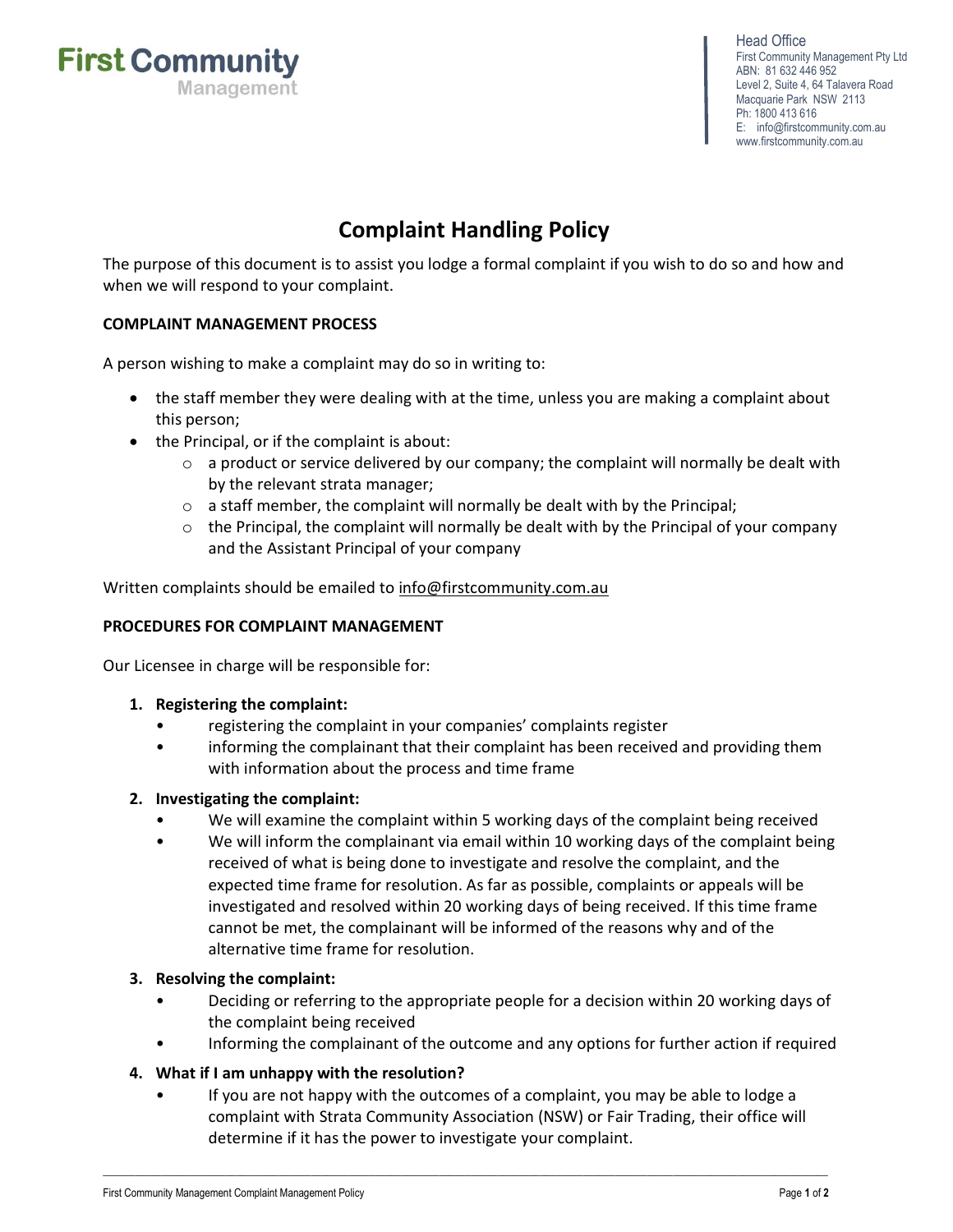Management

**First Community** 

Head Office First Community Management Pty Ltd ABN: 81 632 446 952 Level 2, Suite 4, 64 Talavera Road Macquarie Park NSW 2113 Ph: 1800 413 616 E: info@firstcommunity.com.au <www.firstcommunity.com.au>

# Complaint Handling Policy

The purpose of this document is to assist you lodge a formal complaint if you wish to do so and how and when we will respond to your complaint.

# COMPLAINT MANAGEMENT PROCESS

A person wishing to make a complaint may do so in writing to:

- the staff member they were dealing with at the time, unless you are making a complaint about this person;
- the Principal, or if the complaint is about:
	- $\circ$  a product or service delivered by our company; the complaint will normally be dealt with by the relevant strata manager;
	- o a staff member, the complaint will normally be dealt with by the Principal;
	- $\circ$  the Principal, the complaint will normally be dealt with by the Principal of your company and the Assistant Principal of your company

Written complaints should be emailed to info@firstcommunity.com.au

### PROCEDURES FOR COMPLAINT MANAGEMENT

Our Licensee in charge will be responsible for:

- 1. Registering the complaint:
	- registering the complaint in your companies' complaints register
	- informing the complainant that their complaint has been received and providing them with information about the process and time frame

### 2. Investigating the complaint:

- We will examine the complaint within 5 working days of the complaint being received
- We will inform the complainant via email within 10 working days of the complaint being received of what is being done to investigate and resolve the complaint, and the expected time frame for resolution. As far as possible, complaints or appeals will be investigated and resolved within 20 working days of being received. If this time frame cannot be met, the complainant will be informed of the reasons why and of the alternative time frame for resolution.

## 3. Resolving the complaint:

- Deciding or referring to the appropriate people for a decision within 20 working days of the complaint being received
- Informing the complainant of the outcome and any options for further action if required

### 4. What if I am unhappy with the resolution?

• If you are not happy with the outcomes of a complaint, you may be able to lodge a complaint with Strata Community Association (NSW) or Fair Trading, their office will determine if it has the power to investigate your complaint.

\_\_\_\_\_\_\_\_\_\_\_\_\_\_\_\_\_\_\_\_\_\_\_\_\_\_\_\_\_\_\_\_\_\_\_\_\_\_\_\_\_\_\_\_\_\_\_\_\_\_\_\_\_\_\_\_\_\_\_\_\_\_\_\_\_\_\_\_\_\_\_\_\_\_\_\_\_\_\_\_\_\_\_\_\_\_\_\_\_\_\_\_\_\_\_\_\_\_\_\_\_\_\_\_\_\_\_\_\_\_\_\_\_\_\_\_\_\_\_\_\_\_\_\_\_\_\_\_\_\_\_\_\_\_\_\_